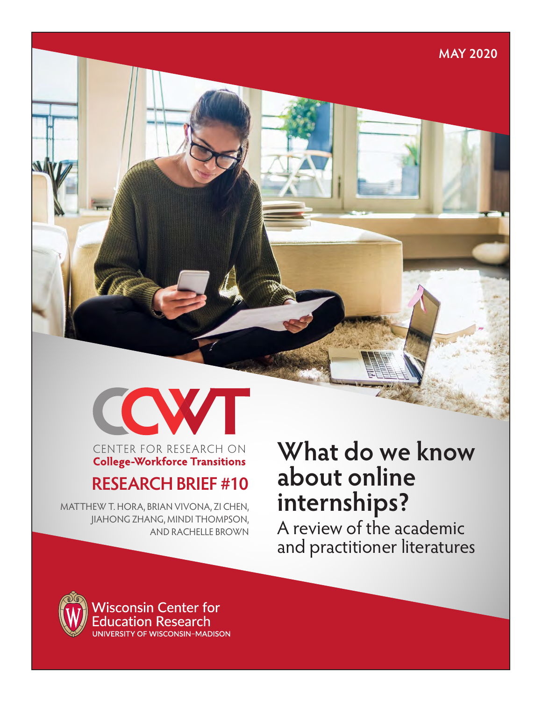**MAY 2020**



#### CENTER FOR RESEARCH ON **College-Workforce Transitions**

## **RESEARCH BRIEF #10**

MATTHEW T. HORA, BRIAN VIVONA, ZI CHEN, JIAHONG ZHANG, MINDI THOMPSON, AND RACHELLE BROWN

# **What do we know about online internships?**

A review of the academic and practitioner literatures

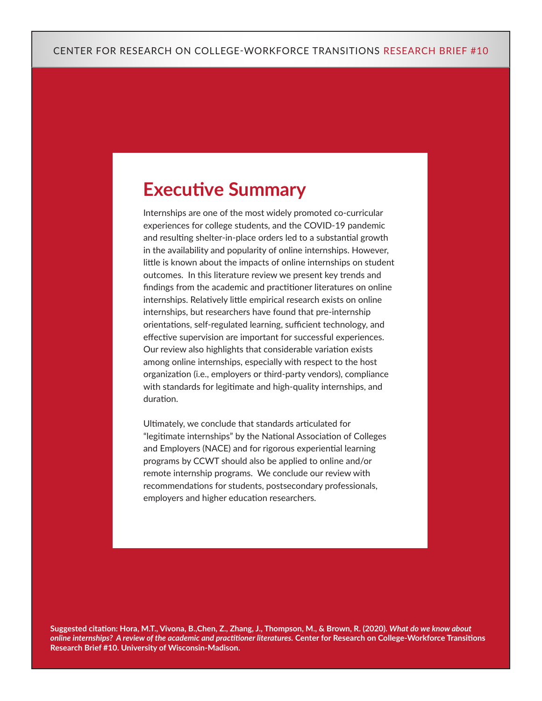## **Executive Summary**

Internships are one of the most widely promoted co-curricular experiences for college students, and the COVID-19 pandemic and resulting shelter-in-place orders led to a substantial growth in the availability and popularity of online internships. However, little is known about the impacts of online internships on student outcomes. In this literature review we present key trends and findings from the academic and practitioner literatures on online internships. Relatively little empirical research exists on online internships, but researchers have found that pre-internship orientations, self-regulated learning, sufficient technology, and effective supervision are important for successful experiences. Our review also highlights that considerable variation exists among online internships, especially with respect to the host organization (i.e., employers or third-party vendors), compliance with standards for legitimate and high-quality internships, and duration.

Ultimately, we conclude that standards articulated for "legitimate internships" by the National Association of Colleges and Employers (NACE) and for rigorous experiential learning programs by CCWT should also be applied to online and/or remote internship programs. We conclude our review with recommendations for students, postsecondary professionals, employers and higher education researchers.

**Suggested citation: Hora, M.T., Vivona, B.,Chen, Z., Zhang, J., Thompson, M., & Brown, R. (2020).** *What do we know about online internships? A review of the academic and practitioner literatures.* **Center for Research on College-Workforce Transitions Research Brief #10. University of Wisconsin-Madison.**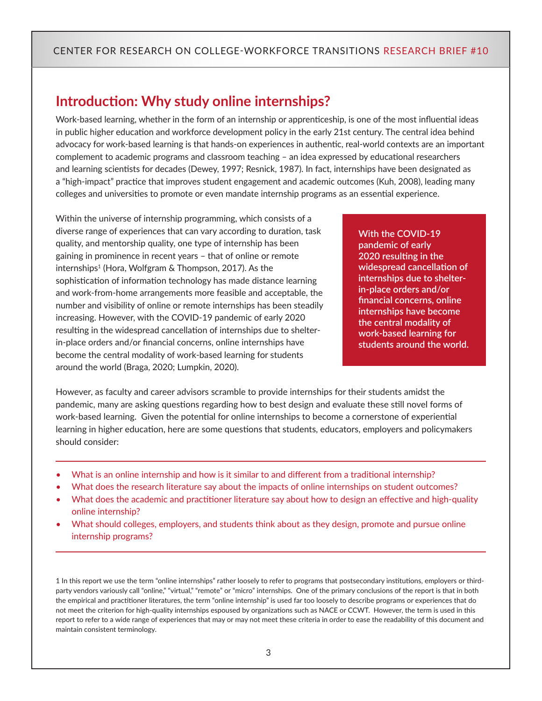## **Introduction: Why study online internships?**

Work-based learning, whether in the form of an internship or apprenticeship, is one of the most influential ideas in public higher education and workforce development policy in the early 21st century. The central idea behind advocacy for work-based learning is that hands-on experiences in authentic, real-world contexts are an important complement to academic programs and classroom teaching – an idea expressed by educational researchers and learning scientists for decades (Dewey, 1997; Resnick, 1987). In fact, internships have been designated as a "high-impact" practice that improves student engagement and academic outcomes (Kuh, 2008), leading many colleges and universities to promote or even mandate internship programs as an essential experience.

Within the universe of internship programming, which consists of a diverse range of experiences that can vary according to duration, task quality, and mentorship quality, one type of internship has been gaining in prominence in recent years – that of online or remote internships<sup>1</sup> (Hora, Wolfgram & Thompson, 2017). As the sophistication of information technology has made distance learning and work-from-home arrangements more feasible and acceptable, the number and visibility of online or remote internships has been steadily increasing. However, with the COVID-19 pandemic of early 2020 resulting in the widespread cancellation of internships due to shelterin-place orders and/or financial concerns, online internships have become the central modality of work-based learning for students around the world (Braga, 2020; Lumpkin, 2020).

**With the COVID-19 pandemic of early 2020 resulting in the widespread cancellation of internships due to shelterin-place orders and/or financial concerns, online internships have become the central modality of work-based learning for students around the world.**

However, as faculty and career advisors scramble to provide internships for their students amidst the pandemic, many are asking questions regarding how to best design and evaluate these still novel forms of work-based learning. Given the potential for online internships to become a cornerstone of experiential learning in higher education, here are some questions that students, educators, employers and policymakers should consider:

- What is an online internship and how is it similar to and different from a traditional internship?
- What does the research literature say about the impacts of online internships on student outcomes?
- What does the academic and practitioner literature say about how to design an effective and high-quality online internship?
- What should colleges, employers, and students think about as they design, promote and pursue online internship programs?

1 In this report we use the term "online internships" rather loosely to refer to programs that postsecondary institutions, employers or thirdparty vendors variously call "online," "virtual," "remote" or "micro" internships. One of the primary conclusions of the report is that in both the empirical and practitioner literatures, the term "online internship" is used far too loosely to describe programs or experiences that do not meet the criterion for high-quality internships espoused by organizations such as NACE or CCWT. However, the term is used in this report to refer to a wide range of experiences that may or may not meet these criteria in order to ease the readability of this document and maintain consistent terminology.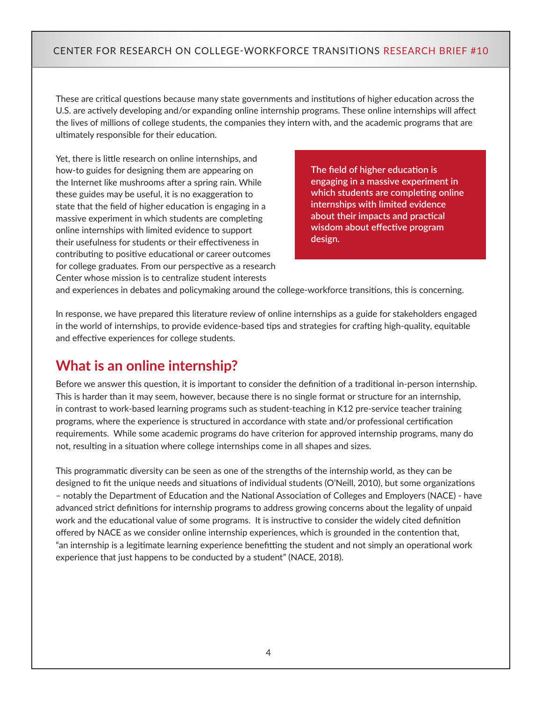These are critical questions because many state governments and institutions of higher education across the U.S. are actively developing and/or expanding online internship programs. These online internships will affect the lives of millions of college students, the companies they intern with, and the academic programs that are ultimately responsible for their education.

Yet, there is little research on online internships, and how-to guides for designing them are appearing on the Internet like mushrooms after a spring rain. While these guides may be useful, it is no exaggeration to state that the field of higher education is engaging in a massive experiment in which students are completing online internships with limited evidence to support their usefulness for students or their effectiveness in contributing to positive educational or career outcomes for college graduates. From our perspective as a research Center whose mission is to centralize student interests

**The field of higher education is engaging in a massive experiment in which students are completing online internships with limited evidence about their impacts and practical wisdom about effective program design.** 

and experiences in debates and policymaking around the college-workforce transitions, this is concerning.

In response, we have prepared this literature review of online internships as a guide for stakeholders engaged in the world of internships, to provide evidence-based tips and strategies for crafting high-quality, equitable and effective experiences for college students.

## **What is an online internship?**

Before we answer this question, it is important to consider the definition of a traditional in-person internship. This is harder than it may seem, however, because there is no single format or structure for an internship, in contrast to work-based learning programs such as student-teaching in K12 pre-service teacher training programs, where the experience is structured in accordance with state and/or professional certification requirements. While some academic programs do have criterion for approved internship programs, many do not, resulting in a situation where college internships come in all shapes and sizes.

This programmatic diversity can be seen as one of the strengths of the internship world, as they can be designed to fit the unique needs and situations of individual students (O'Neill, 2010), but some organizations – notably the Department of Education and the National Association of Colleges and Employers (NACE) - have advanced strict definitions for internship programs to address growing concerns about the legality of unpaid work and the educational value of some programs. It is instructive to consider the widely cited definition offered by NACE as we consider online internship experiences, which is grounded in the contention that, "an internship is a legitimate learning experience benefitting the student and not simply an operational work experience that just happens to be conducted by a student" (NACE, 2018).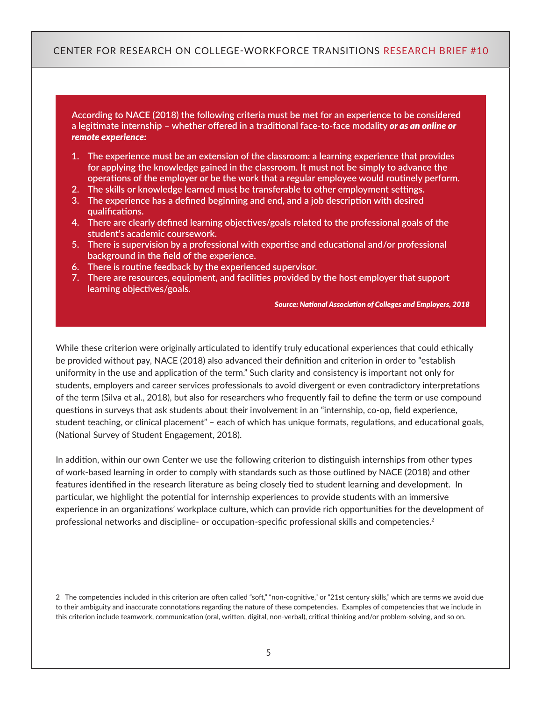**According to NACE (2018) the following criteria must be met for an experience to be considered a legitimate internship – whether offered in a traditional face-to-face modality** *or as an online or remote experience:*

- **1. The experience must be an extension of the classroom: a learning experience that provides for applying the knowledge gained in the classroom. It must not be simply to advance the operations of the employer or be the work that a regular employee would routinely perform.**
- **2. The skills or knowledge learned must be transferable to other employment settings.**
- **3. The experience has a defined beginning and end, and a job description with desired qualifications.**
- **4. There are clearly defined learning objectives/goals related to the professional goals of the student's academic coursework.**
- **5. There is supervision by a professional with expertise and educational and/or professional background in the field of the experience.**
- **6. There is routine feedback by the experienced supervisor.**
- **7. There are resources, equipment, and facilities provided by the host employer that support learning objectives/goals.**

*Source: National Association of Colleges and Employers, 2018*

While these criterion were originally articulated to identify truly educational experiences that could ethically be provided without pay, NACE (2018) also advanced their definition and criterion in order to "establish uniformity in the use and application of the term." Such clarity and consistency is important not only for students, employers and career services professionals to avoid divergent or even contradictory interpretations of the term (Silva et al., 2018), but also for researchers who frequently fail to define the term or use compound questions in surveys that ask students about their involvement in an "internship, co-op, field experience, student teaching, or clinical placement" – each of which has unique formats, regulations, and educational goals, (National Survey of Student Engagement, 2018).

In addition, within our own Center we use the following criterion to distinguish internships from other types of work-based learning in order to comply with standards such as those outlined by NACE (2018) and other features identified in the research literature as being closely tied to student learning and development. In particular, we highlight the potential for internship experiences to provide students with an immersive experience in an organizations' workplace culture, which can provide rich opportunities for the development of professional networks and discipline- or occupation-specific professional skills and competencies.<sup>2</sup>

2 The competencies included in this criterion are often called "soft," "non-cognitive," or "21st century skills," which are terms we avoid due to their ambiguity and inaccurate connotations regarding the nature of these competencies. Examples of competencies that we include in this criterion include teamwork, communication (oral, written, digital, non-verbal), critical thinking and/or problem-solving, and so on.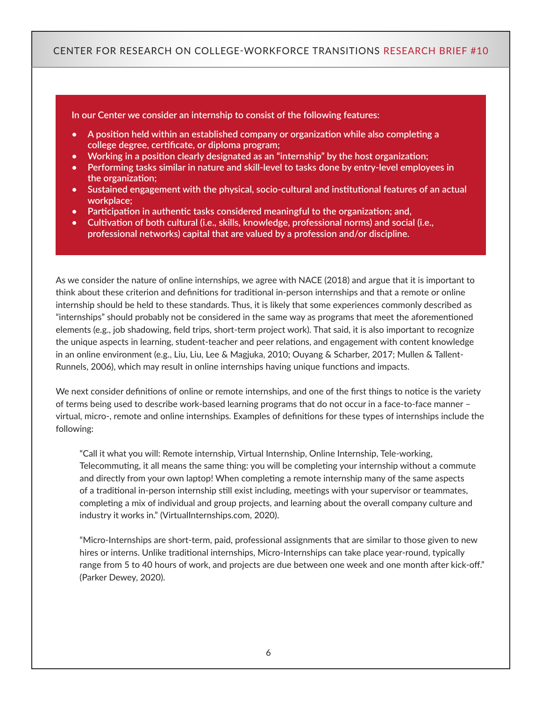**In our Center we consider an internship to consist of the following features:**

- **• A position held within an established company or organization while also completing a college degree, certificate, or diploma program;**
- **• Working in a position clearly designated as an "internship" by the host organization;**
- **• Performing tasks similar in nature and skill-level to tasks done by entry-level employees in the organization;**
- **• Sustained engagement with the physical, socio-cultural and institutional features of an actual workplace;**
- **• Participation in authentic tasks considered meaningful to the organization; and,**
- **• Cultivation of both cultural (i.e., skills, knowledge, professional norms) and social (i.e., professional networks) capital that are valued by a profession and/or discipline.**

As we consider the nature of online internships, we agree with NACE (2018) and argue that it is important to think about these criterion and definitions for traditional in-person internships and that a remote or online internship should be held to these standards. Thus, it is likely that some experiences commonly described as "internships" should probably not be considered in the same way as programs that meet the aforementioned elements (e.g., job shadowing, field trips, short-term project work). That said, it is also important to recognize the unique aspects in learning, student-teacher and peer relations, and engagement with content knowledge in an online environment (e.g., Liu, Liu, Lee & Magjuka, 2010; Ouyang & Scharber, 2017; Mullen & Tallent-Runnels, 2006), which may result in online internships having unique functions and impacts.

We next consider definitions of online or remote internships, and one of the first things to notice is the variety of terms being used to describe work-based learning programs that do not occur in a face-to-face manner – virtual, micro-, remote and online internships. Examples of definitions for these types of internships include the following:

"Call it what you will: Remote internship, Virtual Internship, Online Internship, Tele-working, Telecommuting, it all means the same thing: you will be completing your internship without a commute and directly from your own laptop! When completing a remote internship many of the same aspects of a traditional in-person internship still exist including, meetings with your supervisor or teammates, completing a mix of individual and group projects, and learning about the overall company culture and industry it works in." (VirtualInternships.com, 2020).

"Micro-Internships are short-term, paid, professional assignments that are similar to those given to new hires or interns. Unlike traditional internships, Micro-Internships can take place year-round, typically range from 5 to 40 hours of work, and projects are due between one week and one month after kick-off." (Parker Dewey, 2020).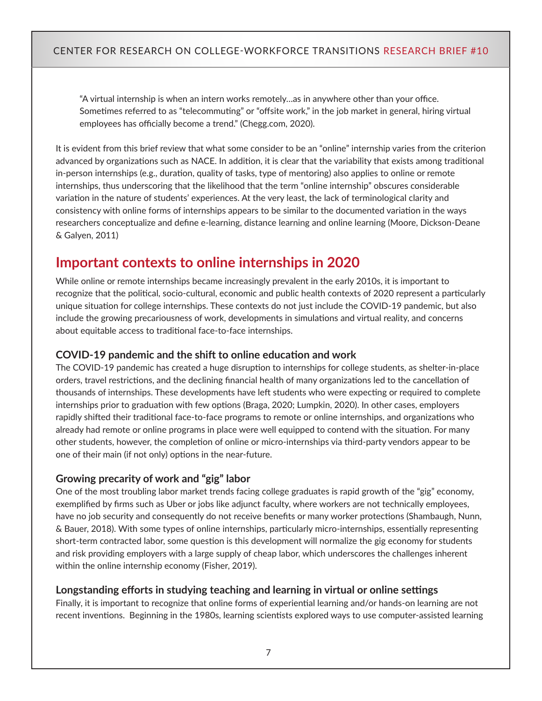"A virtual internship is when an intern works remotely…as in anywhere other than your office. Sometimes referred to as "telecommuting" or "offsite work," in the job market in general, hiring virtual employees has officially become a trend." (Chegg.com, 2020).

It is evident from this brief review that what some consider to be an "online" internship varies from the criterion advanced by organizations such as NACE. In addition, it is clear that the variability that exists among traditional in-person internships (e.g., duration, quality of tasks, type of mentoring) also applies to online or remote internships, thus underscoring that the likelihood that the term "online internship" obscures considerable variation in the nature of students' experiences. At the very least, the lack of terminological clarity and consistency with online forms of internships appears to be similar to the documented variation in the ways researchers conceptualize and define e-learning, distance learning and online learning (Moore, Dickson-Deane & Galyen, 2011)

## **Important contexts to online internships in 2020**

While online or remote internships became increasingly prevalent in the early 2010s, it is important to recognize that the political, socio-cultural, economic and public health contexts of 2020 represent a particularly unique situation for college internships. These contexts do not just include the COVID-19 pandemic, but also include the growing precariousness of work, developments in simulations and virtual reality, and concerns about equitable access to traditional face-to-face internships.

#### **COVID-19 pandemic and the shift to online education and work**

The COVID-19 pandemic has created a huge disruption to internships for college students, as shelter-in-place orders, travel restrictions, and the declining financial health of many organizations led to the cancellation of thousands of internships. These developments have left students who were expecting or required to complete internships prior to graduation with few options (Braga, 2020; Lumpkin, 2020). In other cases, employers rapidly shifted their traditional face-to-face programs to remote or online internships, and organizations who already had remote or online programs in place were well equipped to contend with the situation. For many other students, however, the completion of online or micro-internships via third-party vendors appear to be one of their main (if not only) options in the near-future.

#### **Growing precarity of work and "gig" labor**

One of the most troubling labor market trends facing college graduates is rapid growth of the "gig" economy, exemplified by firms such as Uber or jobs like adjunct faculty, where workers are not technically employees, have no job security and consequently do not receive benefits or many worker protections (Shambaugh, Nunn, & Bauer, 2018). With some types of online internships, particularly micro-internships, essentially representing short-term contracted labor, some question is this development will normalize the gig economy for students and risk providing employers with a large supply of cheap labor, which underscores the challenges inherent within the online internship economy (Fisher, 2019).

#### **Longstanding efforts in studying teaching and learning in virtual or online settings**

Finally, it is important to recognize that online forms of experiential learning and/or hands-on learning are not recent inventions. Beginning in the 1980s, learning scientists explored ways to use computer-assisted learning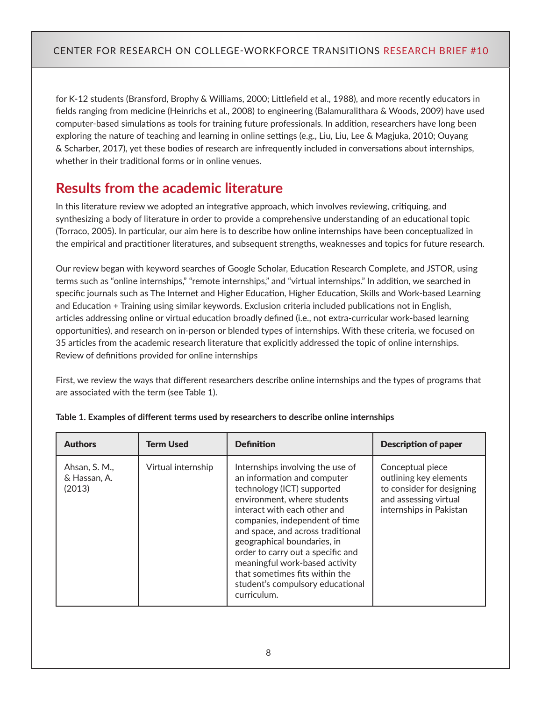for K-12 students (Bransford, Brophy & Williams, 2000; Littlefield et al., 1988), and more recently educators in fields ranging from medicine (Heinrichs et al., 2008) to engineering (Balamuralithara & Woods, 2009) have used computer-based simulations as tools for training future professionals. In addition, researchers have long been exploring the nature of teaching and learning in online settings (e.g., Liu, Liu, Lee & Magjuka, 2010; Ouyang & Scharber, 2017), yet these bodies of research are infrequently included in conversations about internships, whether in their traditional forms or in online venues.

## **Results from the academic literature**

In this literature review we adopted an integrative approach, which involves reviewing, critiquing, and synthesizing a body of literature in order to provide a comprehensive understanding of an educational topic (Torraco, 2005). In particular, our aim here is to describe how online internships have been conceptualized in the empirical and practitioner literatures, and subsequent strengths, weaknesses and topics for future research.

Our review began with keyword searches of Google Scholar, Education Research Complete, and JSTOR, using terms such as "online internships," "remote internships," and "virtual internships." In addition, we searched in specific journals such as The Internet and Higher Education, Higher Education, Skills and Work-based Learning and Education + Training using similar keywords. Exclusion criteria included publications not in English, articles addressing online or virtual education broadly defined (i.e., not extra-curricular work-based learning opportunities), and research on in-person or blended types of internships. With these criteria, we focused on 35 articles from the academic research literature that explicitly addressed the topic of online internships. Review of definitions provided for online internships

First, we review the ways that different researchers describe online internships and the types of programs that are associated with the term (see Table 1).

| <b>Authors</b>                          | <b>Term Used</b>   | <b>Definition</b>                                                                                                                                                                                                                                                                                                                                                                                                              | <b>Description of paper</b>                                                                                                 |
|-----------------------------------------|--------------------|--------------------------------------------------------------------------------------------------------------------------------------------------------------------------------------------------------------------------------------------------------------------------------------------------------------------------------------------------------------------------------------------------------------------------------|-----------------------------------------------------------------------------------------------------------------------------|
| Ahsan, S. M.,<br>& Hassan, A.<br>(2013) | Virtual internship | Internships involving the use of<br>an information and computer<br>technology (ICT) supported<br>environment, where students<br>interact with each other and<br>companies, independent of time<br>and space, and across traditional<br>geographical boundaries, in<br>order to carry out a specific and<br>meaningful work-based activity<br>that sometimes fits within the<br>student's compulsory educational<br>curriculum. | Conceptual piece<br>outlining key elements<br>to consider for designing<br>and assessing virtual<br>internships in Pakistan |

#### **Table 1. Examples of different terms used by researchers to describe online internships**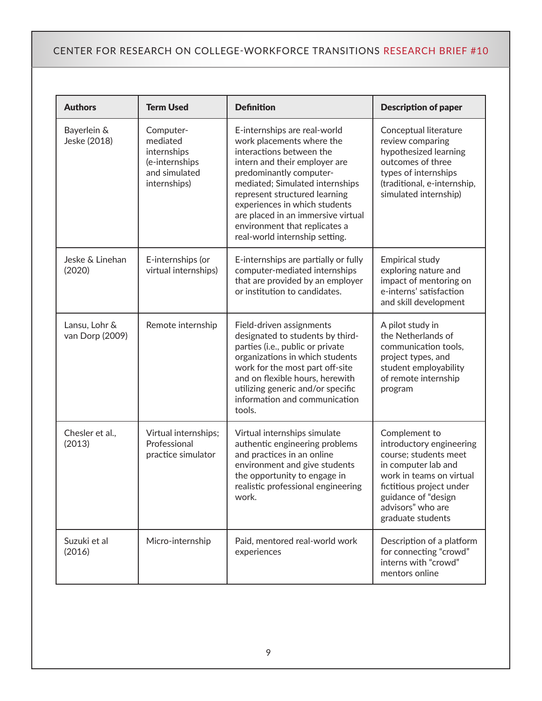| <b>Authors</b>                   | <b>Term Used</b>                                                                        | <b>Definition</b>                                                                                                                                                                                                                                                                                                                                               | <b>Description of paper</b>                                                                                                                                                                                        |
|----------------------------------|-----------------------------------------------------------------------------------------|-----------------------------------------------------------------------------------------------------------------------------------------------------------------------------------------------------------------------------------------------------------------------------------------------------------------------------------------------------------------|--------------------------------------------------------------------------------------------------------------------------------------------------------------------------------------------------------------------|
| Bayerlein &<br>Jeske (2018)      | Computer-<br>mediated<br>internships<br>(e-internships<br>and simulated<br>internships) | E-internships are real-world<br>work placements where the<br>interactions between the<br>intern and their employer are<br>predominantly computer-<br>mediated; Simulated internships<br>represent structured learning<br>experiences in which students<br>are placed in an immersive virtual<br>environment that replicates a<br>real-world internship setting. | Conceptual literature<br>review comparing<br>hypothesized learning<br>outcomes of three<br>types of internships<br>(traditional, e-internship,<br>simulated internship)                                            |
| Jeske & Linehan<br>(2020)        | E-internships (or<br>virtual internships)                                               | E-internships are partially or fully<br>computer-mediated internships<br>that are provided by an employer<br>or institution to candidates.                                                                                                                                                                                                                      | Empirical study<br>exploring nature and<br>impact of mentoring on<br>e-interns' satisfaction<br>and skill development                                                                                              |
| Lansu, Lohr &<br>van Dorp (2009) | Remote internship                                                                       | Field-driven assignments<br>designated to students by third-<br>parties (i.e., public or private<br>organizations in which students<br>work for the most part off-site<br>and on flexible hours, herewith<br>utilizing generic and/or specific<br>information and communication<br>tools.                                                                       | A pilot study in<br>the Netherlands of<br>communication tools,<br>project types, and<br>student employability<br>of remote internship<br>program                                                                   |
| Chesler et al.,<br>(2013)        | Virtual internships;<br>Professional<br>practice simulator                              | Virtual internships simulate<br>authentic engineering problems<br>and practices in an online<br>environment and give students<br>the opportunity to engage in<br>realistic professional engineering<br>work.                                                                                                                                                    | Complement to<br>introductory engineering<br>course; students meet<br>in computer lab and<br>work in teams on virtual<br>fictitious project under<br>guidance of "design<br>advisors" who are<br>graduate students |
| Suzuki et al<br>(2016)           | Micro-internship                                                                        | Paid, mentored real-world work<br>experiences                                                                                                                                                                                                                                                                                                                   | Description of a platform<br>for connecting "crowd"<br>interns with "crowd"<br>mentors online                                                                                                                      |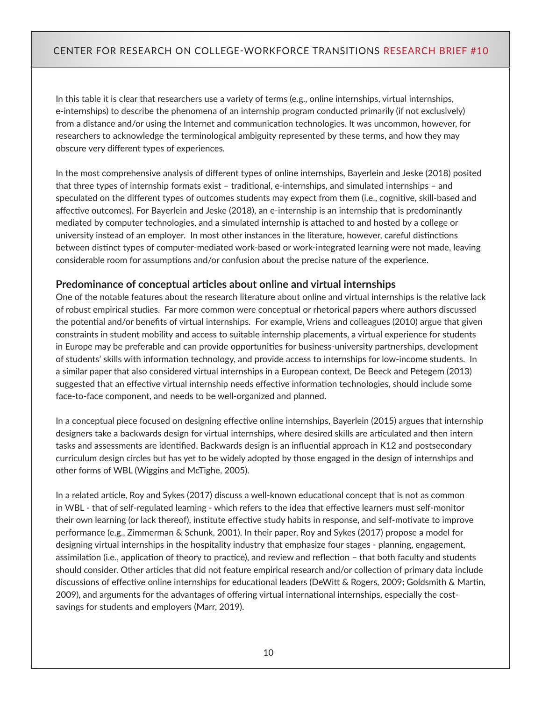In this table it is clear that researchers use a variety of terms (e.g., online internships, virtual internships, e-internships) to describe the phenomena of an internship program conducted primarily (if not exclusively) from a distance and/or using the Internet and communication technologies. It was uncommon, however, for researchers to acknowledge the terminological ambiguity represented by these terms, and how they may obscure very different types of experiences.

In the most comprehensive analysis of different types of online internships, Bayerlein and Jeske (2018) posited that three types of internship formats exist – traditional, e-internships, and simulated internships – and speculated on the different types of outcomes students may expect from them (i.e., cognitive, skill-based and affective outcomes). For Bayerlein and Jeske (2018), an e-internship is an internship that is predominantly mediated by computer technologies, and a simulated internship is attached to and hosted by a college or university instead of an employer. In most other instances in the literature, however, careful distinctions between distinct types of computer-mediated work-based or work-integrated learning were not made, leaving considerable room for assumptions and/or confusion about the precise nature of the experience.

#### **Predominance of conceptual articles about online and virtual internships**

One of the notable features about the research literature about online and virtual internships is the relative lack of robust empirical studies. Far more common were conceptual or rhetorical papers where authors discussed the potential and/or benefits of virtual internships. For example, Vriens and colleagues (2010) argue that given constraints in student mobility and access to suitable internship placements, a virtual experience for students in Europe may be preferable and can provide opportunities for business-university partnerships, development of students' skills with information technology, and provide access to internships for low-income students. In a similar paper that also considered virtual internships in a European context, De Beeck and Petegem (2013) suggested that an effective virtual internship needs effective information technologies, should include some face-to-face component, and needs to be well-organized and planned.

In a conceptual piece focused on designing effective online internships, Bayerlein (2015) argues that internship designers take a backwards design for virtual internships, where desired skills are articulated and then intern tasks and assessments are identified. Backwards design is an influential approach in K12 and postsecondary curriculum design circles but has yet to be widely adopted by those engaged in the design of internships and other forms of WBL (Wiggins and McTighe, 2005).

In a related article, Roy and Sykes (2017) discuss a well-known educational concept that is not as common in WBL - that of self-regulated learning - which refers to the idea that effective learners must self-monitor their own learning (or lack thereof), institute effective study habits in response, and self-motivate to improve performance (e.g., Zimmerman & Schunk, 2001). In their paper, Roy and Sykes (2017) propose a model for designing virtual internships in the hospitality industry that emphasize four stages - planning, engagement, assimilation (i.e., application of theory to practice), and review and reflection – that both faculty and students should consider. Other articles that did not feature empirical research and/or collection of primary data include discussions of effective online internships for educational leaders (DeWitt & Rogers, 2009; Goldsmith & Martin, 2009), and arguments for the advantages of offering virtual international internships, especially the costsavings for students and employers (Marr, 2019).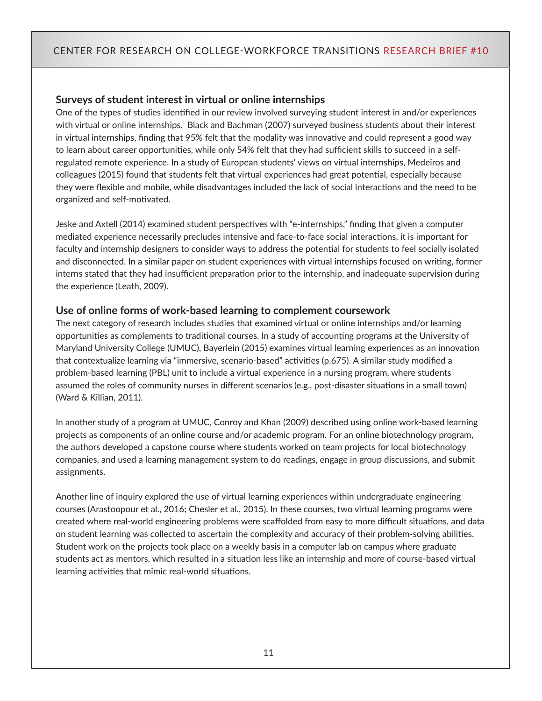#### **Surveys of student interest in virtual or online internships**

One of the types of studies identified in our review involved surveying student interest in and/or experiences with virtual or online internships. Black and Bachman (2007) surveyed business students about their interest in virtual internships, finding that 95% felt that the modality was innovative and could represent a good way to learn about career opportunities, while only 54% felt that they had sufficient skills to succeed in a selfregulated remote experience. In a study of European students' views on virtual internships, Medeiros and colleagues (2015) found that students felt that virtual experiences had great potential, especially because they were flexible and mobile, while disadvantages included the lack of social interactions and the need to be organized and self-motivated.

Jeske and Axtell (2014) examined student perspectives with "e-internships," finding that given a computer mediated experience necessarily precludes intensive and face-to-face social interactions, it is important for faculty and internship designers to consider ways to address the potential for students to feel socially isolated and disconnected. In a similar paper on student experiences with virtual internships focused on writing, former interns stated that they had insufficient preparation prior to the internship, and inadequate supervision during the experience (Leath, 2009).

#### **Use of online forms of work-based learning to complement coursework**

The next category of research includes studies that examined virtual or online internships and/or learning opportunities as complements to traditional courses. In a study of accounting programs at the University of Maryland University College (UMUC), Bayerlein (2015) examines virtual learning experiences as an innovation that contextualize learning via "immersive, scenario-based" activities (p.675). A similar study modified a problem-based learning (PBL) unit to include a virtual experience in a nursing program, where students assumed the roles of community nurses in different scenarios (e.g., post-disaster situations in a small town) (Ward & Killian, 2011).

In another study of a program at UMUC, Conroy and Khan (2009) described using online work-based learning projects as components of an online course and/or academic program. For an online biotechnology program, the authors developed a capstone course where students worked on team projects for local biotechnology companies, and used a learning management system to do readings, engage in group discussions, and submit assignments.

Another line of inquiry explored the use of virtual learning experiences within undergraduate engineering courses (Arastoopour et al., 2016; Chesler et al., 2015). In these courses, two virtual learning programs were created where real-world engineering problems were scaffolded from easy to more difficult situations, and data on student learning was collected to ascertain the complexity and accuracy of their problem-solving abilities. Student work on the projects took place on a weekly basis in a computer lab on campus where graduate students act as mentors, which resulted in a situation less like an internship and more of course-based virtual learning activities that mimic real-world situations.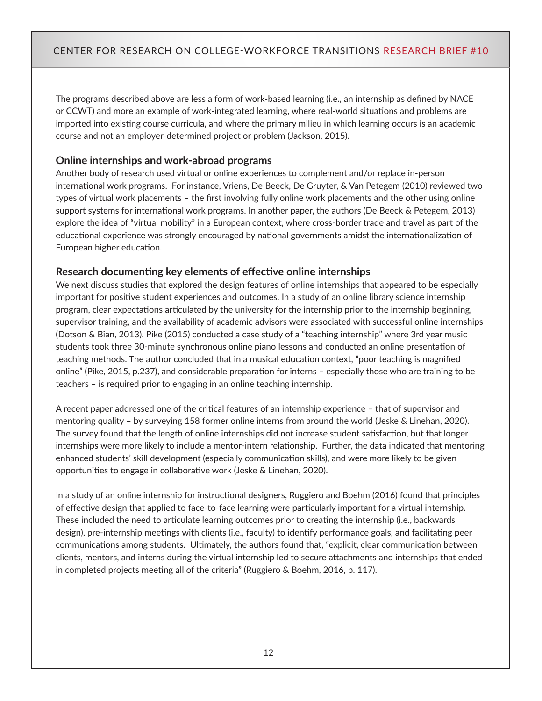The programs described above are less a form of work-based learning (i.e., an internship as defined by NACE or CCWT) and more an example of work-integrated learning, where real-world situations and problems are imported into existing course curricula, and where the primary milieu in which learning occurs is an academic course and not an employer-determined project or problem (Jackson, 2015).

#### **Online internships and work-abroad programs**

Another body of research used virtual or online experiences to complement and/or replace in-person international work programs. For instance, Vriens, De Beeck, De Gruyter, & Van Petegem (2010) reviewed two types of virtual work placements – the first involving fully online work placements and the other using online support systems for international work programs. In another paper, the authors (De Beeck & Petegem, 2013) explore the idea of "virtual mobility" in a European context, where cross-border trade and travel as part of the educational experience was strongly encouraged by national governments amidst the internationalization of European higher education.

#### **Research documenting key elements of effective online internships**

We next discuss studies that explored the design features of online internships that appeared to be especially important for positive student experiences and outcomes. In a study of an online library science internship program, clear expectations articulated by the university for the internship prior to the internship beginning, supervisor training, and the availability of academic advisors were associated with successful online internships (Dotson & Bian, 2013). Pike (2015) conducted a case study of a "teaching internship" where 3rd year music students took three 30-minute synchronous online piano lessons and conducted an online presentation of teaching methods. The author concluded that in a musical education context, "poor teaching is magnified online" (Pike, 2015, p.237), and considerable preparation for interns – especially those who are training to be teachers – is required prior to engaging in an online teaching internship.

A recent paper addressed one of the critical features of an internship experience – that of supervisor and mentoring quality – by surveying 158 former online interns from around the world (Jeske & Linehan, 2020). The survey found that the length of online internships did not increase student satisfaction, but that longer internships were more likely to include a mentor-intern relationship. Further, the data indicated that mentoring enhanced students' skill development (especially communication skills), and were more likely to be given opportunities to engage in collaborative work (Jeske & Linehan, 2020).

In a study of an online internship for instructional designers, Ruggiero and Boehm (2016) found that principles of effective design that applied to face-to-face learning were particularly important for a virtual internship. These included the need to articulate learning outcomes prior to creating the internship (i.e., backwards design), pre-internship meetings with clients (i.e., faculty) to identify performance goals, and facilitating peer communications among students. Ultimately, the authors found that, "explicit, clear communication between clients, mentors, and interns during the virtual internship led to secure attachments and internships that ended in completed projects meeting all of the criteria" (Ruggiero & Boehm, 2016, p. 117).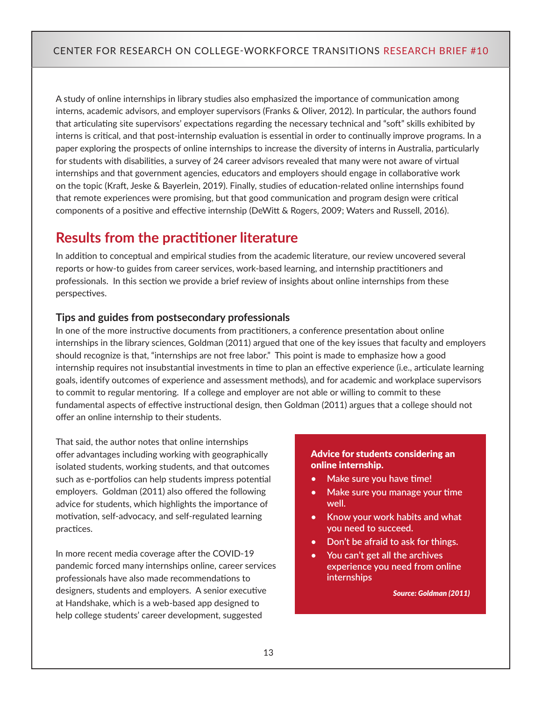A study of online internships in library studies also emphasized the importance of communication among interns, academic advisors, and employer supervisors (Franks & Oliver, 2012). In particular, the authors found that articulating site supervisors' expectations regarding the necessary technical and "soft" skills exhibited by interns is critical, and that post-internship evaluation is essential in order to continually improve programs. In a paper exploring the prospects of online internships to increase the diversity of interns in Australia, particularly for students with disabilities, a survey of 24 career advisors revealed that many were not aware of virtual internships and that government agencies, educators and employers should engage in collaborative work on the topic (Kraft, Jeske & Bayerlein, 2019). Finally, studies of education-related online internships found that remote experiences were promising, but that good communication and program design were critical components of a positive and effective internship (DeWitt & Rogers, 2009; Waters and Russell, 2016).

## **Results from the practitioner literature**

In addition to conceptual and empirical studies from the academic literature, our review uncovered several reports or how-to guides from career services, work-based learning, and internship practitioners and professionals. In this section we provide a brief review of insights about online internships from these perspectives.

#### **Tips and guides from postsecondary professionals**

In one of the more instructive documents from practitioners, a conference presentation about online internships in the library sciences, Goldman (2011) argued that one of the key issues that faculty and employers should recognize is that, "internships are not free labor." This point is made to emphasize how a good internship requires not insubstantial investments in time to plan an effective experience (i.e., articulate learning goals, identify outcomes of experience and assessment methods), and for academic and workplace supervisors to commit to regular mentoring. If a college and employer are not able or willing to commit to these fundamental aspects of effective instructional design, then Goldman (2011) argues that a college should not offer an online internship to their students.

That said, the author notes that online internships offer advantages including working with geographically isolated students, working students, and that outcomes such as e-portfolios can help students impress potential employers. Goldman (2011) also offered the following advice for students, which highlights the importance of motivation, self-advocacy, and self-regulated learning practices.

In more recent media coverage after the COVID-19 pandemic forced many internships online, career services professionals have also made recommendations to designers, students and employers. A senior executive at Handshake, which is a web-based app designed to help college students' career development, suggested

#### Advice for students considering an online internship.

- **• Make sure you have time!**
- **• Make sure you manage your time well.**
- **• Know your work habits and what you need to succeed.**
- **• Don't be afraid to ask for things.**
- **• You can't get all the archives experience you need from online internships**

*Source: Goldman (2011)*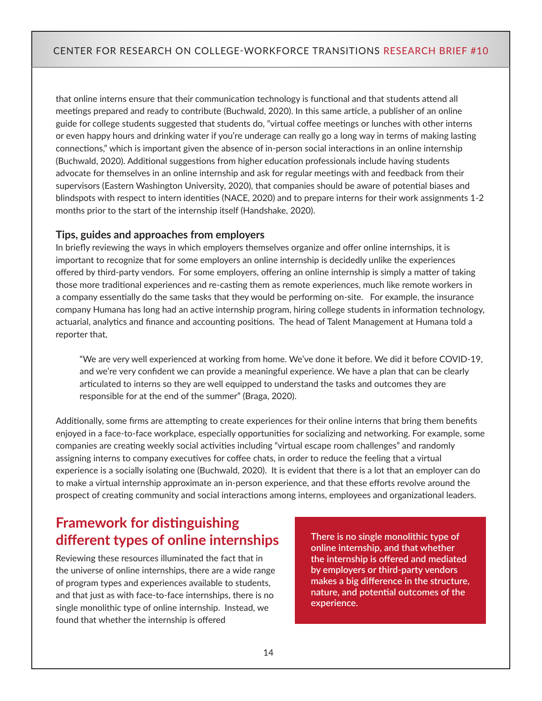that online interns ensure that their communication technology is functional and that students attend all meetings prepared and ready to contribute (Buchwald, 2020). In this same article, a publisher of an online guide for college students suggested that students do, "virtual coffee meetings or lunches with other interns or even happy hours and drinking water if you're underage can really go a long way in terms of making lasting connections," which is important given the absence of in-person social interactions in an online internship (Buchwald, 2020). Additional suggestions from higher education professionals include having students advocate for themselves in an online internship and ask for regular meetings with and feedback from their supervisors (Eastern Washington University, 2020), that companies should be aware of potential biases and blindspots with respect to intern identities (NACE, 2020) and to prepare interns for their work assignments 1-2 months prior to the start of the internship itself (Handshake, 2020).

#### **Tips, guides and approaches from employers**

In briefly reviewing the ways in which employers themselves organize and offer online internships, it is important to recognize that for some employers an online internship is decidedly unlike the experiences offered by third-party vendors. For some employers, offering an online internship is simply a matter of taking those more traditional experiences and re-casting them as remote experiences, much like remote workers in a company essentially do the same tasks that they would be performing on-site. For example, the insurance company Humana has long had an active internship program, hiring college students in information technology, actuarial, analytics and finance and accounting positions. The head of Talent Management at Humana told a reporter that,

"We are very well experienced at working from home. We've done it before. We did it before COVID-19, and we're very confident we can provide a meaningful experience. We have a plan that can be clearly articulated to interns so they are well equipped to understand the tasks and outcomes they are responsible for at the end of the summer" (Braga, 2020).

Additionally, some firms are attempting to create experiences for their online interns that bring them benefits enjoyed in a face-to-face workplace, especially opportunities for socializing and networking. For example, some companies are creating weekly social activities including "virtual escape room challenges" and randomly assigning interns to company executives for coffee chats, in order to reduce the feeling that a virtual experience is a socially isolating one (Buchwald, 2020). It is evident that there is a lot that an employer can do to make a virtual internship approximate an in-person experience, and that these efforts revolve around the prospect of creating community and social interactions among interns, employees and organizational leaders.

## **Framework for distinguishing different types of online internships**

Reviewing these resources illuminated the fact that in the universe of online internships, there are a wide range of program types and experiences available to students, and that just as with face-to-face internships, there is no single monolithic type of online internship. Instead, we found that whether the internship is offered

**There is no single monolithic type of online internship, and that whether the internship is offered and mediated by employers or third-party vendors makes a big difference in the structure, nature, and potential outcomes of the experience.**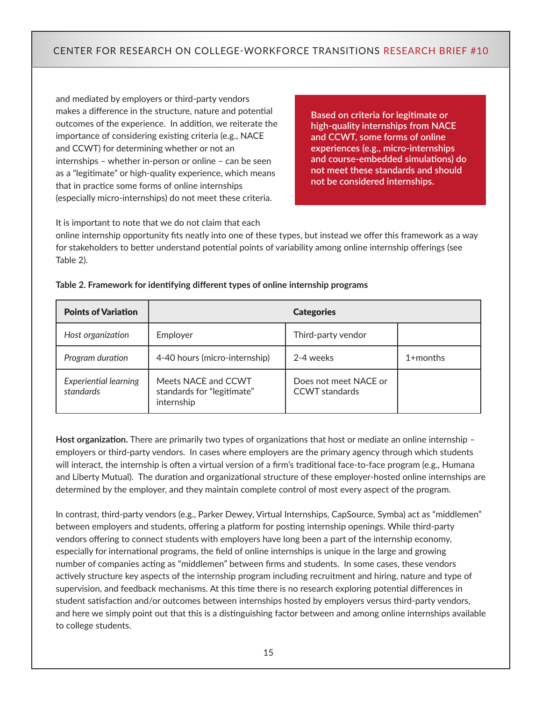and mediated by employers or third-party vendors makes a difference in the structure, nature and potential outcomes of the experience. In addition, we reiterate the importance of considering existing criteria (e.g., NACE and CCWT) for determining whether or not an internships – whether in-person or online – can be seen as a "legitimate" or high-quality experience, which means that in practice some forms of online internships (especially micro-internships) do not meet these criteria.

**Based on criteria for legitimate or high-quality internships from NACE and CCWT, some forms of online experiences (e.g., micro-internships and course-embedded simulations) do not meet these standards and should not be considered internships.** 

It is important to note that we do not claim that each

online internship opportunity fits neatly into one of these types, but instead we offer this framework as a way for stakeholders to better understand potential points of variability among online internship offerings (see Table 2).

| <b>Points of Variation</b>                | <b>Categories</b>                                               |                                                |              |  |
|-------------------------------------------|-----------------------------------------------------------------|------------------------------------------------|--------------|--|
| Host organization                         | Employer                                                        | Third-party vendor                             |              |  |
| Program duration                          | 4-40 hours (micro-internship)                                   | 2-4 weeks                                      | $1 +$ months |  |
| <b>Experiential learning</b><br>standards | Meets NACE and CCWT<br>standards for "legitimate"<br>internship | Does not meet NACE or<br><b>CCWT</b> standards |              |  |

#### **Table 2. Framework for identifying different types of online internship programs**

**Host organization.** There are primarily two types of organizations that host or mediate an online internship – employers or third-party vendors. In cases where employers are the primary agency through which students will interact, the internship is often a virtual version of a firm's traditional face-to-face program (e.g., Humana and Liberty Mutual). The duration and organizational structure of these employer-hosted online internships are determined by the employer, and they maintain complete control of most every aspect of the program.

In contrast, third-party vendors (e.g., Parker Dewey, Virtual Internships, CapSource, Symba) act as "middlemen" between employers and students, offering a platform for posting internship openings. While third-party vendors offering to connect students with employers have long been a part of the internship economy, especially for international programs, the field of online internships is unique in the large and growing number of companies acting as "middlemen" between firms and students. In some cases, these vendors actively structure key aspects of the internship program including recruitment and hiring, nature and type of supervision, and feedback mechanisms. At this time there is no research exploring potential differences in student satisfaction and/or outcomes between internships hosted by employers versus third-party vendors, and here we simply point out that this is a distinguishing factor between and among online internships available to college students.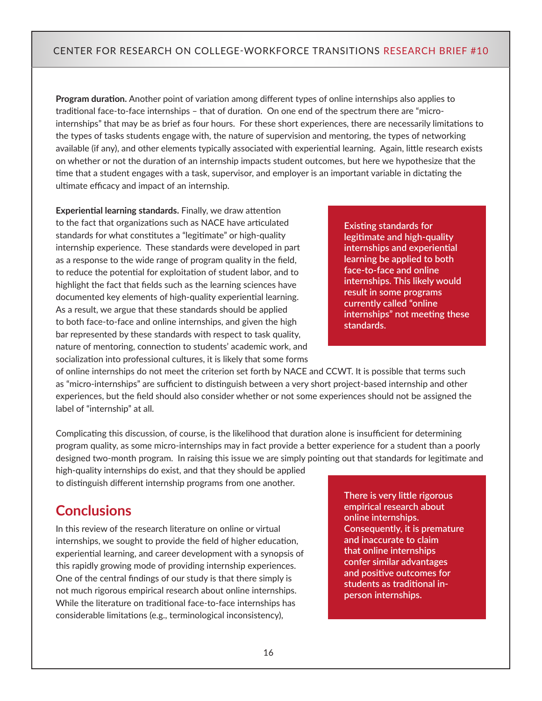**Program duration.** Another point of variation among different types of online internships also applies to traditional face-to-face internships – that of duration. On one end of the spectrum there are "microinternships" that may be as brief as four hours. For these short experiences, there are necessarily limitations to the types of tasks students engage with, the nature of supervision and mentoring, the types of networking available (if any), and other elements typically associated with experiential learning. Again, little research exists on whether or not the duration of an internship impacts student outcomes, but here we hypothesize that the time that a student engages with a task, supervisor, and employer is an important variable in dictating the ultimate efficacy and impact of an internship.

**Experiential learning standards.** Finally, we draw attention to the fact that organizations such as NACE have articulated standards for what constitutes a "legitimate" or high-quality internship experience. These standards were developed in part as a response to the wide range of program quality in the field, to reduce the potential for exploitation of student labor, and to highlight the fact that fields such as the learning sciences have documented key elements of high-quality experiential learning. As a result, we argue that these standards should be applied to both face-to-face and online internships, and given the high bar represented by these standards with respect to task quality, nature of mentoring, connection to students' academic work, and socialization into professional cultures, it is likely that some forms

**Existing standards for legitimate and high-quality internships and experiential learning be applied to both face-to-face and online internships. This likely would result in some programs currently called "online internships" not meeting these standards.**

of online internships do not meet the criterion set forth by NACE and CCWT. It is possible that terms such as "micro-internships" are sufficient to distinguish between a very short project-based internship and other experiences, but the field should also consider whether or not some experiences should not be assigned the label of "internship" at all.

Complicating this discussion, of course, is the likelihood that duration alone is insufficient for determining program quality, as some micro-internships may in fact provide a better experience for a student than a poorly designed two-month program. In raising this issue we are simply pointing out that standards for legitimate and

high-quality internships do exist, and that they should be applied to distinguish different internship programs from one another.

## **Conclusions**

In this review of the research literature on online or virtual internships, we sought to provide the field of higher education, experiential learning, and career development with a synopsis of this rapidly growing mode of providing internship experiences. One of the central findings of our study is that there simply is not much rigorous empirical research about online internships. While the literature on traditional face-to-face internships has considerable limitations (e.g., terminological inconsistency),

**There is very little rigorous empirical research about online internships. Consequently, it is premature and inaccurate to claim that online internships confer similar advantages and positive outcomes for students as traditional inperson internships.**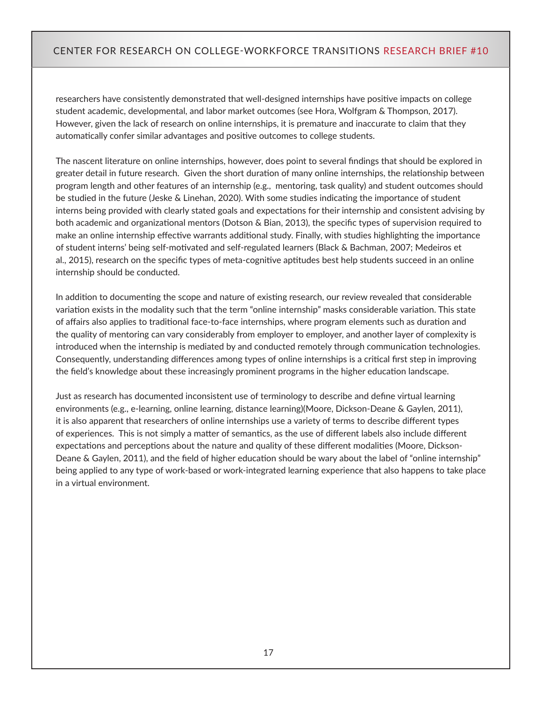researchers have consistently demonstrated that well-designed internships have positive impacts on college student academic, developmental, and labor market outcomes (see Hora, Wolfgram & Thompson, 2017). However, given the lack of research on online internships, it is premature and inaccurate to claim that they automatically confer similar advantages and positive outcomes to college students.

The nascent literature on online internships, however, does point to several findings that should be explored in greater detail in future research. Given the short duration of many online internships, the relationship between program length and other features of an internship (e.g., mentoring, task quality) and student outcomes should be studied in the future (Jeske & Linehan, 2020). With some studies indicating the importance of student interns being provided with clearly stated goals and expectations for their internship and consistent advising by both academic and organizational mentors (Dotson & Bian, 2013), the specific types of supervision required to make an online internship effective warrants additional study. Finally, with studies highlighting the importance of student interns' being self-motivated and self-regulated learners (Black & Bachman, 2007; Medeiros et al., 2015), research on the specific types of meta-cognitive aptitudes best help students succeed in an online internship should be conducted.

In addition to documenting the scope and nature of existing research, our review revealed that considerable variation exists in the modality such that the term "online internship" masks considerable variation. This state of affairs also applies to traditional face-to-face internships, where program elements such as duration and the quality of mentoring can vary considerably from employer to employer, and another layer of complexity is introduced when the internship is mediated by and conducted remotely through communication technologies. Consequently, understanding differences among types of online internships is a critical first step in improving the field's knowledge about these increasingly prominent programs in the higher education landscape.

Just as research has documented inconsistent use of terminology to describe and define virtual learning environments (e.g., e-learning, online learning, distance learning)(Moore, Dickson-Deane & Gaylen, 2011), it is also apparent that researchers of online internships use a variety of terms to describe different types of experiences. This is not simply a matter of semantics, as the use of different labels also include different expectations and perceptions about the nature and quality of these different modalities (Moore, Dickson-Deane & Gaylen, 2011), and the field of higher education should be wary about the label of "online internship" being applied to any type of work-based or work-integrated learning experience that also happens to take place in a virtual environment.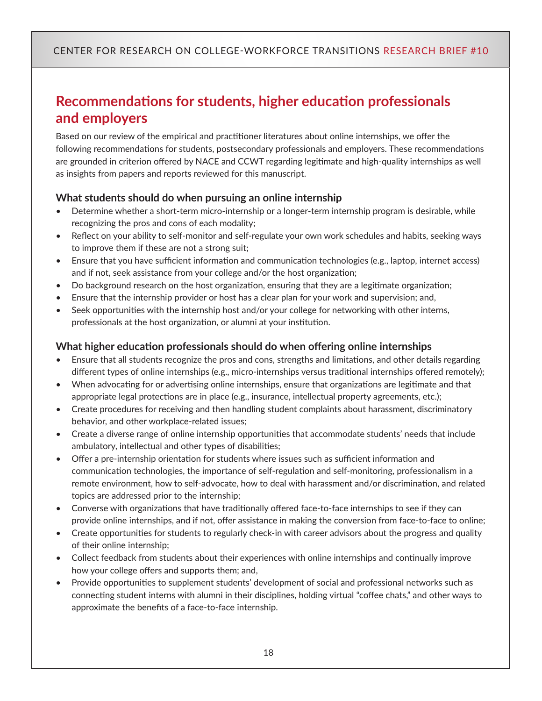## **Recommendations for students, higher education professionals and employers**

Based on our review of the empirical and practitioner literatures about online internships, we offer the following recommendations for students, postsecondary professionals and employers. These recommendations are grounded in criterion offered by NACE and CCWT regarding legitimate and high-quality internships as well as insights from papers and reports reviewed for this manuscript.

#### **What students should do when pursuing an online internship**

- Determine whether a short-term micro-internship or a longer-term internship program is desirable, while recognizing the pros and cons of each modality;
- Reflect on your ability to self-monitor and self-regulate your own work schedules and habits, seeking ways to improve them if these are not a strong suit;
- Ensure that you have sufficient information and communication technologies (e.g., laptop, internet access) and if not, seek assistance from your college and/or the host organization;
- Do background research on the host organization, ensuring that they are a legitimate organization;
- Ensure that the internship provider or host has a clear plan for your work and supervision; and,
- Seek opportunities with the internship host and/or your college for networking with other interns, professionals at the host organization, or alumni at your institution.

#### **What higher education professionals should do when offering online internships**

- Ensure that all students recognize the pros and cons, strengths and limitations, and other details regarding different types of online internships (e.g., micro-internships versus traditional internships offered remotely);
- When advocating for or advertising online internships, ensure that organizations are legitimate and that appropriate legal protections are in place (e.g., insurance, intellectual property agreements, etc.);
- Create procedures for receiving and then handling student complaints about harassment, discriminatory behavior, and other workplace-related issues;
- Create a diverse range of online internship opportunities that accommodate students' needs that include ambulatory, intellectual and other types of disabilities;
- Offer a pre-internship orientation for students where issues such as sufficient information and communication technologies, the importance of self-regulation and self-monitoring, professionalism in a remote environment, how to self-advocate, how to deal with harassment and/or discrimination, and related topics are addressed prior to the internship;
- Converse with organizations that have traditionally offered face-to-face internships to see if they can provide online internships, and if not, offer assistance in making the conversion from face-to-face to online;
- Create opportunities for students to regularly check-in with career advisors about the progress and quality of their online internship;
- Collect feedback from students about their experiences with online internships and continually improve how your college offers and supports them; and,
- Provide opportunities to supplement students' development of social and professional networks such as connecting student interns with alumni in their disciplines, holding virtual "coffee chats," and other ways to approximate the benefits of a face-to-face internship.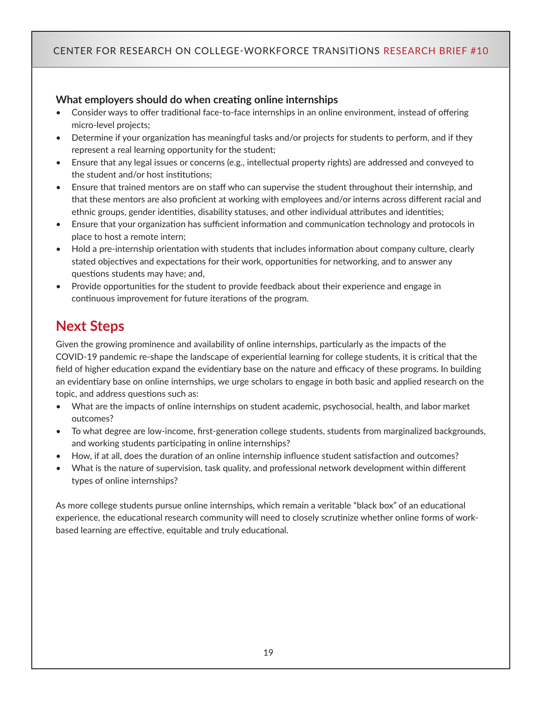#### **What employers should do when creating online internships**

- Consider ways to offer traditional face-to-face internships in an online environment, instead of offering micro-level projects;
- Determine if your organization has meaningful tasks and/or projects for students to perform, and if they represent a real learning opportunity for the student;
- Ensure that any legal issues or concerns (e.g., intellectual property rights) are addressed and conveyed to the student and/or host institutions;
- Ensure that trained mentors are on staff who can supervise the student throughout their internship, and that these mentors are also proficient at working with employees and/or interns across different racial and ethnic groups, gender identities, disability statuses, and other individual attributes and identities;
- Ensure that your organization has sufficient information and communication technology and protocols in place to host a remote intern;
- Hold a pre-internship orientation with students that includes information about company culture, clearly stated objectives and expectations for their work, opportunities for networking, and to answer any questions students may have; and,
- Provide opportunities for the student to provide feedback about their experience and engage in continuous improvement for future iterations of the program.

## **Next Steps**

Given the growing prominence and availability of online internships, particularly as the impacts of the COVID-19 pandemic re-shape the landscape of experiential learning for college students, it is critical that the field of higher education expand the evidentiary base on the nature and efficacy of these programs. In building an evidentiary base on online internships, we urge scholars to engage in both basic and applied research on the topic, and address questions such as:

- What are the impacts of online internships on student academic, psychosocial, health, and labor market outcomes?
- To what degree are low-income, first-generation college students, students from marginalized backgrounds, and working students participating in online internships?
- How, if at all, does the duration of an online internship influence student satisfaction and outcomes?
- What is the nature of supervision, task quality, and professional network development within different types of online internships?

As more college students pursue online internships, which remain a veritable "black box" of an educational experience, the educational research community will need to closely scrutinize whether online forms of workbased learning are effective, equitable and truly educational.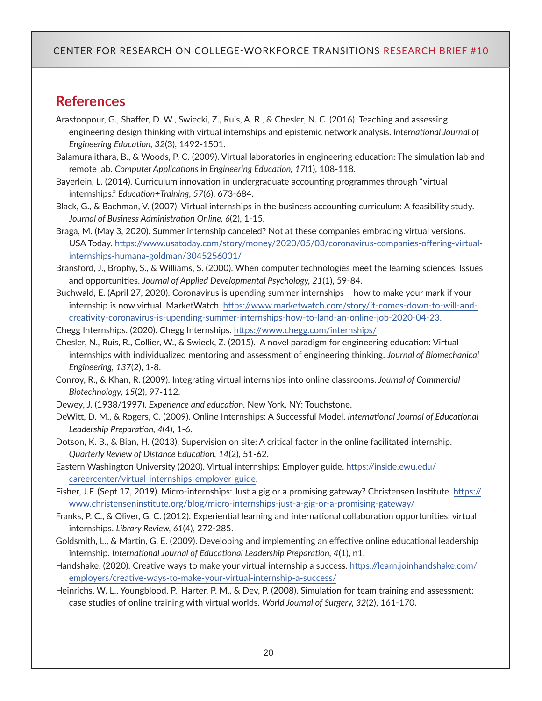### **References**

- Arastoopour, G., Shaffer, D. W., Swiecki, Z., Ruis, A. R., & Chesler, N. C. (2016). Teaching and assessing engineering design thinking with virtual internships and epistemic network analysis. *International Journal of Engineering Education, 32*(3), 1492-1501.
- Balamuralithara, B., & Woods, P. C. (2009). Virtual laboratories in engineering education: The simulation lab and remote lab. *Computer Applications in Engineering Education, 17*(1), 108-118.
- Bayerlein, L. (2014). Curriculum innovation in undergraduate accounting programmes through "virtual internships." *Education+Training, 57*(6), 673-684.
- Black, G., & Bachman, V. (2007). Virtual internships in the business accounting curriculum: A feasibility study. *Journal of Business Administration Online, 6*(2), 1-15.
- Braga, M. (May 3, 2020). Summer internship canceled? Not at these companies embracing virtual versions. USA Today. [https://www.usatoday.com/story/money/2020/05/03/coronavirus-companies-offering-virtual](https://www.usatoday.com/story/money/2020/05/03/coronavirus-companies-offering-virtual-internships-humana-goldman/3045256001/)[internships-humana-goldman/3045256001/](https://www.usatoday.com/story/money/2020/05/03/coronavirus-companies-offering-virtual-internships-humana-goldman/3045256001/)
- Bransford, J., Brophy, S., & Williams, S. (2000). When computer technologies meet the learning sciences: Issues and opportunities. *Journal of Applied Developmental Psychology, 21*(1), 59-84.
- Buchwald, E. (April 27, 2020). Coronavirus is upending summer internships how to make your mark if your internship is now virtual. MarketWatch. [https://www.marketwatch.com/story/it-comes-down-to-will-and](https://www.marketwatch.com/story/it-comes-down-to-will-and-creativity-coronavirus-is-upending-summer-internships-how-to-land-an-online-job-2020-04-23)[creativity-coronavirus-is-upending-summer-internships-how-to-land-an-online-job-2020-04-23.](https://www.marketwatch.com/story/it-comes-down-to-will-and-creativity-coronavirus-is-upending-summer-internships-how-to-land-an-online-job-2020-04-23)

Chegg Internships. (2020). Chegg Internships.<https://www.chegg.com/internships/>

- Chesler, N., Ruis, R., Collier, W., & Swieck, Z. (2015). A novel paradigm for engineering education: Virtual internships with individualized mentoring and assessment of engineering thinking. *Journal of Biomechanical Engineering, 137*(2), 1-8.
- Conroy, R., & Khan, R. (2009). Integrating virtual internships into online classrooms. *Journal of Commercial Biotechnology, 15*(2), 97-112.

Dewey, J. (1938/1997). *Experience and education.* New York, NY: Touchstone.

- DeWitt, D. M., & Rogers, C. (2009). Online Internships: A Successful Model. *International Journal of Educational Leadership Preparation, 4*(4), 1-6.
- Dotson, K. B., & Bian, H. (2013). Supervision on site: A critical factor in the online facilitated internship. *Quarterly Review of Distance Education, 14*(2), 51-62.
- Eastern Washington University (2020). Virtual internships: Employer guide. [https://inside.ewu.edu/](https://inside.ewu.edu/careercenter/virtual-internships-employer-guide) [careercenter/virtual-internships-employer-guide](https://inside.ewu.edu/careercenter/virtual-internships-employer-guide).
- Fisher, J.F. (Sept 17, 2019). Micro-internships: Just a gig or a promising gateway? Christensen Institute. [https://](https://www.christenseninstitute.org/blog/micro-internships-just-a-gig-or-a-promising-gateway/) [www.christenseninstitute.org/blog/micro-internships-just-a-gig-or-a-promising-gateway/](https://www.christenseninstitute.org/blog/micro-internships-just-a-gig-or-a-promising-gateway/)
- Franks, P. C., & Oliver, G. C. (2012). Experiential learning and international collaboration opportunities: virtual internships. *Library Review, 61*(4), 272-285.
- Goldsmith, L., & Martin, G. E. (2009). Developing and implementing an effective online educational leadership internship. *International Journal of Educational Leadership Preparation, 4*(1), n1.
- Handshake. (2020). Creative ways to make your virtual internship a success. [https://learn.joinhandshake.com/](https://learn.joinhandshake.com/employers/creative-ways-to-make-your-virtual-internship-a-success/) [employers/creative-ways-to-make-your-virtual-internship-a-success/](https://learn.joinhandshake.com/employers/creative-ways-to-make-your-virtual-internship-a-success/)
- Heinrichs, W. L., Youngblood, P., Harter, P. M., & Dev, P. (2008). Simulation for team training and assessment: case studies of online training with virtual worlds. *World Journal of Surgery, 32*(2), 161-170.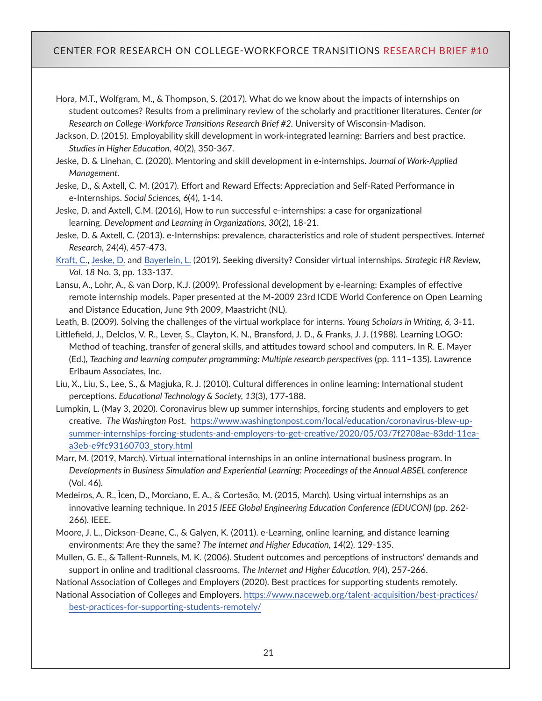Hora, M.T., Wolfgram, M., & Thompson, S. (2017). What do we know about the impacts of internships on student outcomes? Results from a preliminary review of the scholarly and practitioner literatures. *Center for Research on College-Workforce Transitions Research Brief #2.* University of Wisconsin-Madison.

Jackson, D. (2015). Employability skill development in work-integrated learning: Barriers and best practice. *Studies in Higher Education, 40*(2), 350-367.

Jeske, D. & Linehan, C. (2020). Mentoring and skill development in e-internships. *Journal of Work-Applied Management.*

Jeske, D., & Axtell, C. M. (2017). Effort and Reward Effects: Appreciation and Self-Rated Performance in e-Internships. *Social Sciences, 6*(4), 1-14.

[Jeske, D.](https://www-emerald-com.ezproxy.library.wisc.edu/insight/search?q=Debora%20Jeske) and [Axtell, C.M.](https://www-emerald-com.ezproxy.library.wisc.edu/insight/search?q=Carolyn%20M.%20Axtell) (2016), How to run successful e-internships: a case for organizational learning. *[Development and Learning in Organizations,](https://www-emerald-com.ezproxy.library.wisc.edu/insight/publication/issn/1477-7282) 30*(2), 18-21.

Jeske, D. & Axtell, C. (2013). e-Internships: prevalence, characteristics and role of student perspectives. *Internet Research, 24*(4), 457-473.

[Kraft, C.,](https://www-emerald-com.ezproxy.library.wisc.edu/insight/search?q=Carina%20Kraft) [Jeske, D.](https://www-emerald-com.ezproxy.library.wisc.edu/insight/search?q=Debora%20Jeske) and [Bayerlein, L.](https://www-emerald-com.ezproxy.library.wisc.edu/insight/search?q=Leopold%20Bayerlein) (2019). Seeking diversity? Consider virtual internships. *Strategic HR Review, Vol. 18* No. 3, pp. 133-137.

Lansu, A., Lohr, A., & van Dorp, K.J. (2009). Professional development by e-learning: Examples of effective remote internship models. Paper presented at the M-2009 23rd ICDE World Conference on Open Learning and Distance Education, June 9th 2009, Maastricht (NL).

Leath, B. (2009). Solving the challenges of the virtual workplace for interns. *Young Scholars in Writing, 6,* 3-11.

Littlefield, J., Delclos, V. R., Lever, S., Clayton, K. N., Bransford, J. D., & Franks, J. J. (1988). Learning LOGO: Method of teaching, transfer of general skills, and attitudes toward school and computers. In R. E. Mayer (Ed.), *Teaching and learning computer programming: Multiple research perspectives* (pp. 111–135). Lawrence Erlbaum Associates, Inc.

Liu, X., Liu, S., Lee, S., & Magjuka, R. J. (2010). Cultural differences in online learning: International student perceptions. *Educational Technology & Society, 13*(3), 177-188.

Lumpkin, L. (May 3, 2020). Coronavirus blew up summer internships, forcing students and employers to get creative. *The Washington Post.* [https://www.washingtonpost.com/local/education/coronavirus-blew-up](https://www.washingtonpost.com/local/education/coronavirus-blew-up-summer-internships-forcing-students-and-employers-to-get-creative/2020/05/03/7f2708ae-83dd-11ea-a3eb-e9fc93160703_story.html)[summer-internships-forcing-students-and-employers-to-get-creative/2020/05/03/7f2708ae-83dd-11ea](https://www.washingtonpost.com/local/education/coronavirus-blew-up-summer-internships-forcing-students-and-employers-to-get-creative/2020/05/03/7f2708ae-83dd-11ea-a3eb-e9fc93160703_story.html)[a3eb-e9fc93160703\\_story.html](https://www.washingtonpost.com/local/education/coronavirus-blew-up-summer-internships-forcing-students-and-employers-to-get-creative/2020/05/03/7f2708ae-83dd-11ea-a3eb-e9fc93160703_story.html)

Marr, M. (2019, March). Virtual international internships in an online international business program. In *Developments in Business Simulation and Experiential Learning: Proceedings of the Annual ABSEL conference*  (Vol. 46).

Medeiros, A. R., Ìcen, D., Morciano, E. A., & Cortesão, M. (2015, March). Using virtual internships as an innovative learning technique. In *2015 IEEE Global Engineering Education Conference (EDUCON)* (pp. 262- 266). IEEE.

Moore, J. L., Dickson-Deane, C., & Galyen, K. (2011). e-Learning, online learning, and distance learning environments: Are they the same? *The Internet and Higher Education, 14*(2), 129-135.

Mullen, G. E., & Tallent-Runnels, M. K. (2006). Student outcomes and perceptions of instructors' demands and support in online and traditional classrooms. *The Internet and Higher Education, 9*(4), 257-266.

National Association of Colleges and Employers (2020). Best practices for supporting students remotely. National Association of Colleges and Employers. [https://www.naceweb.org/talent-acquisition/best-practices/](https://www.naceweb.org/talent-acquisition/best-practices/best-practices-for-supporting-students-remotely/)

[best-practices-for-supporting-students-remotely/](https://www.naceweb.org/talent-acquisition/best-practices/best-practices-for-supporting-students-remotely/)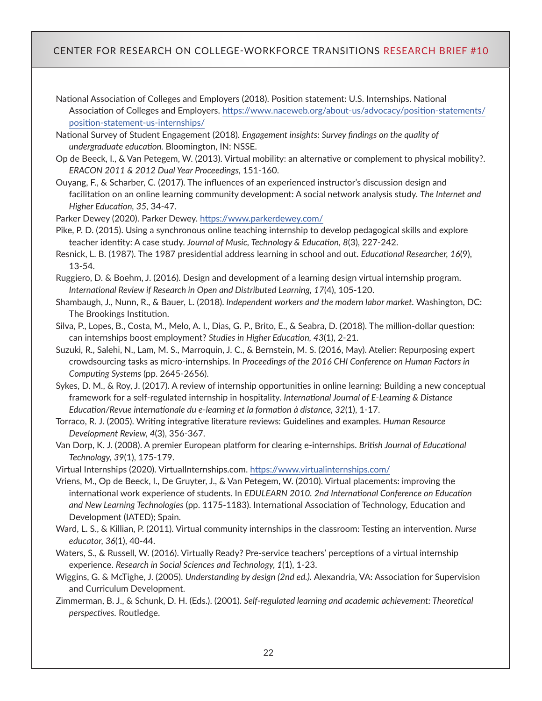National Association of Colleges and Employers (2018). Position statement: U.S. Internships. National Association of Colleges and Employers. [https://www.naceweb.org/about-us/advocacy/position-statements/](https://www.naceweb.org/about-us/advocacy/position-statements/position-statement-us-internships/) [position-statement-us-internships/](https://www.naceweb.org/about-us/advocacy/position-statements/position-statement-us-internships/)

National Survey of Student Engagement (2018). *Engagement insights: Survey findings on the quality of undergraduate education.* Bloomington, IN: NSSE.

- Op de Beeck, I., & Van Petegem, W. (2013). Virtual mobility: an alternative or complement to physical mobility?. *ERACON 2011 & 2012 Dual Year Proceedings,* 151-160.
- Ouyang, F., & Scharber, C. (2017). The influences of an experienced instructor's discussion design and facilitation on an online learning community development: A social network analysis study. *The Internet and Higher Education, 35,* 34-47.

Parker Dewey (2020). Parker Dewey.<https://www.parkerdewey.com/>

- Pike, P. D. (2015). Using a synchronous online teaching internship to develop pedagogical skills and explore teacher identity: A case study. *Journal of Music, Technology & Education, 8*(3), 227-242.
- Resnick, L. B. (1987). The 1987 presidential address learning in school and out. *Educational Researcher, 16*(9), 13-54.
- Ruggiero, D. & Boehm, J. (2016). Design and development of a learning design virtual internship program. *International Review if Research in Open and Distributed Learning, 17*(4), 105-120.
- Shambaugh, J., Nunn, R., & Bauer, L. (2018). *Independent workers and the modern labor market.* Washington, DC: The Brookings Institution.
- Silva, P., Lopes, B., Costa, M., Melo, A. I., Dias, G. P., Brito, E., & Seabra, D. (2018). The million-dollar question: can internships boost employment? *Studies in Higher Education, 43*(1), 2-21.
- Suzuki, R., Salehi, N., Lam, M. S., Marroquin, J. C., & Bernstein, M. S. (2016, May). Atelier: Repurposing expert crowdsourcing tasks as micro-internships. In *Proceedings of the 2016 CHI Conference on Human Factors in Computing Systems* (pp. 2645-2656).
- Sykes, D. M., & Roy, J. (2017). A review of internship opportunities in online learning: Building a new conceptual framework for a self-regulated internship in hospitality. *International Journal of E-Learning & Distance Education/Revue internationale du e-learning et la formation à distance, 32*(1), 1-17.
- Torraco, R. J. (2005). Writing integrative literature reviews: Guidelines and examples. *Human Resource Development Review, 4*(3), 356-367.
- Van Dorp, K. J. (2008). A premier European platform for clearing e-internships. *British Journal of Educational Technology, 39*(1), 175-179.
- Virtual Internships (2020). VirtualInternships.com. <https://www.virtualinternships.com/>

Vriens, M., Op de Beeck, I., De Gruyter, J., & Van Petegem, W. (2010). Virtual placements: improving the international work experience of students. In *EDULEARN 2010. 2nd International Conference on Education and New Learning Technologies* (pp. 1175-1183). International Association of Technology, Education and Development (IATED); Spain.

- Ward, L. S., & Killian, P. (2011). Virtual community internships in the classroom: Testing an intervention. *Nurse educator, 36*(1), 40-44.
- Waters, S., & Russell, W. (2016). Virtually Ready? Pre-service teachers' perceptions of a virtual internship experience. *Research in Social Sciences and Technology, 1*(1), 1-23.
- Wiggins, G. & McTighe, J. (2005). *Understanding by design (2nd ed.).* Alexandria, VA: Association for Supervision and Curriculum Development.
- Zimmerman, B. J., & Schunk, D. H. (Eds.). (2001). *Self-regulated learning and academic achievement: Theoretical perspectives.* Routledge.